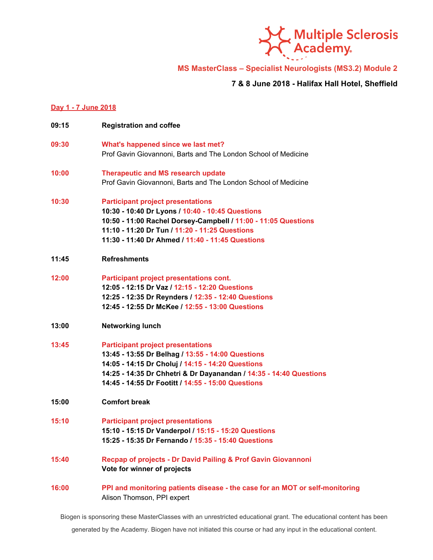

**MS MasterClass – Specialist Neurologists (MS3.2) Module 2**

**7 & 8 June 2018 - Halifax Hall Hotel, Sheffield**

## **Day 1 - 7 June 2018**

| 09:15 | <b>Registration and coffee</b>                                                                                                                                                                                                                                                 |
|-------|--------------------------------------------------------------------------------------------------------------------------------------------------------------------------------------------------------------------------------------------------------------------------------|
| 09:30 | What's happened since we last met?<br>Prof Gavin Giovannoni, Barts and The London School of Medicine                                                                                                                                                                           |
| 10:00 | <b>Therapeutic and MS research update</b><br>Prof Gavin Giovannoni, Barts and The London School of Medicine                                                                                                                                                                    |
| 10:30 | <b>Participant project presentations</b><br>10:30 - 10:40 Dr Lyons / 10:40 - 10:45 Questions<br>10:50 - 11:00 Rachel Dorsey-Campbell / 11:00 - 11:05 Questions<br>11:10 - 11:20 Dr Tun / 11:20 - 11:25 Questions<br>11:30 - 11:40 Dr Ahmed / 11:40 - 11:45 Questions           |
| 11:45 | <b>Refreshments</b>                                                                                                                                                                                                                                                            |
| 12:00 | Participant project presentations cont.<br>12:05 - 12:15 Dr Vaz / 12:15 - 12:20 Questions<br>12:25 - 12:35 Dr Reynders / 12:35 - 12:40 Questions<br>12:45 - 12:55 Dr McKee / 12:55 - 13:00 Questions                                                                           |
| 13:00 | <b>Networking lunch</b>                                                                                                                                                                                                                                                        |
| 13:45 | <b>Participant project presentations</b><br>13:45 - 13:55 Dr Belhag / 13:55 - 14:00 Questions<br>14:05 - 14:15 Dr Choluj / 14:15 - 14:20 Questions<br>14:25 - 14:35 Dr Chhetri & Dr Dayanandan / 14:35 - 14:40 Questions<br>14:45 - 14:55 Dr Footitt / 14:55 - 15:00 Questions |
| 15:00 | <b>Comfort break</b>                                                                                                                                                                                                                                                           |
| 15:10 | <b>Participant project presentations</b><br>15:10 - 15:15 Dr Vanderpol / 15:15 - 15:20 Questions<br>15:25 - 15:35 Dr Fernando / 15:35 - 15:40 Questions                                                                                                                        |
| 15:40 | Recpap of projects - Dr David Pailing & Prof Gavin Giovannoni<br>Vote for winner of projects                                                                                                                                                                                   |
| 16:00 | PPI and monitoring patients disease - the case for an MOT or self-monitoring<br>Alison Thomson, PPI expert                                                                                                                                                                     |

Biogen is sponsoring these MasterClasses with an unrestricted educational grant. The educational content has been

generated by the Academy. Biogen have not initiated this course or had any input in the educational content.